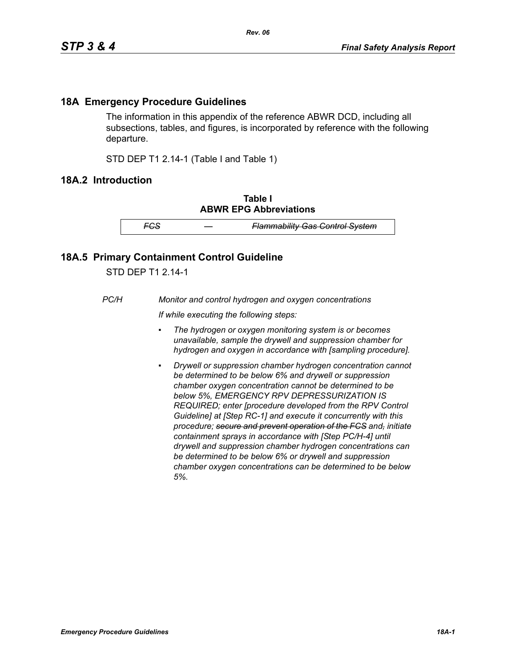## **18A Emergency Procedure Guidelines**

The information in this appendix of the reference ABWR DCD, including all subsections, tables, and figures, is incorporated by reference with the following departure.

STD DEP T1 2.14-1 (Table I and Table 1)

## **18A.2 Introduction**

**Table I ABWR EPG Abbreviations**

*FCS — Flammability Gas Control System*

## **18A.5 Primary Containment Control Guideline**

STD DEP T1 2.14-1

*PC/H Monitor and control hydrogen and oxygen concentrations*

*If while executing the following steps:*

- *▪ The hydrogen or oxygen monitoring system is or becomes unavailable, sample the drywell and suppression chamber for hydrogen and oxygen in accordance with [sampling procedure].*
- *Drywell or suppression chamber hydrogen concentration cannot be determined to be below 6% and drywell or suppression chamber oxygen concentration cannot be determined to be below 5%, EMERGENCY RPV DEPRESSURIZATION IS REQUIRED; enter [procedure developed from the RPV Control Guideline] at [Step RC-1] and execute it concurrently with this procedure; secure and prevent operation of the FCS and, initiate containment sprays in accordance with [Step PC/H-4] until drywell and suppression chamber hydrogen concentrations can be determined to be below 6% or drywell and suppression chamber oxygen concentrations can be determined to be below 5%.*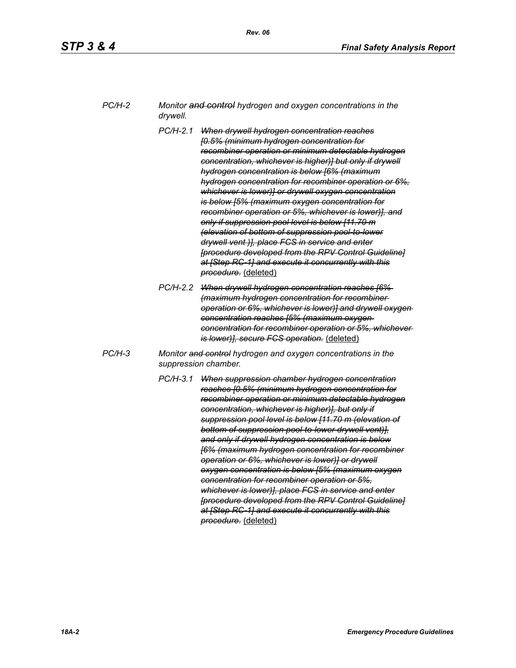| PC/H-2 | Monitor and control hydrogen and oxygen concentrations in the |
|--------|---------------------------------------------------------------|
|        | drywell.                                                      |

- *PC/H-2.1 When drywell hydrogen concentration reaches [0.5% (minimum hydrogen concentration for recombiner operation or minimum detectable hydrogen concentration, whichever is higher)] but only if drywell hydrogen concentration is below [6% (maximum hydrogen concentration for recombiner operation or 6%, whichever is lower)] or drywell oxygen concentration is below [5% (maximum oxygen concentration for recombiner operation or 5%, whichever is lower)], and only if suppression pool level is below [11.70 m (elevation of bottom of suppression pool-to-lower drywell vent )], place FCS in service and enter [procedure developed from the RPV Control Guideline] at [Step RC-1] and execute it concurrently with this procedure.* (deleted)
- *PC/H-2.2 When drywell hydrogen concentration reaches [6% (maximum hydrogen concentration for recombiner operation or 6%, whichever is lower)] and drywell oxygen concentration reaches [5% (maximum oxygen concentration for recombiner operation or 5%, whichever is lower)], secure FCS operation.* (deleted)
- *PC/H-3 Monitor and control hydrogen and oxygen concentrations in the suppression chamber.*
	- *PC/H-3.1 When suppression chamber hydrogen concentration reaches [0.5% (minimum hydrogen concentration for recombiner operation or minimum detectable hydrogen concentration, whichever is higher)], but only if suppression pool level is below [11.70 m (elevation of bottom of suppression pool-to-lower drywell vent)], and only if drywell hydrogen concentration is below [6% (maximum hydrogen concentration for recombiner operation or 6%, whichever is lower)] or drywell oxygen concentration is below [5% (maximum oxygen concentration for recombiner operation or 5%, whichever is lower)], place FCS in service and enter [procedure developed from the RPV Control Guideline] at [Step RC-1] and execute it concurrently with this procedure.* (deleted)